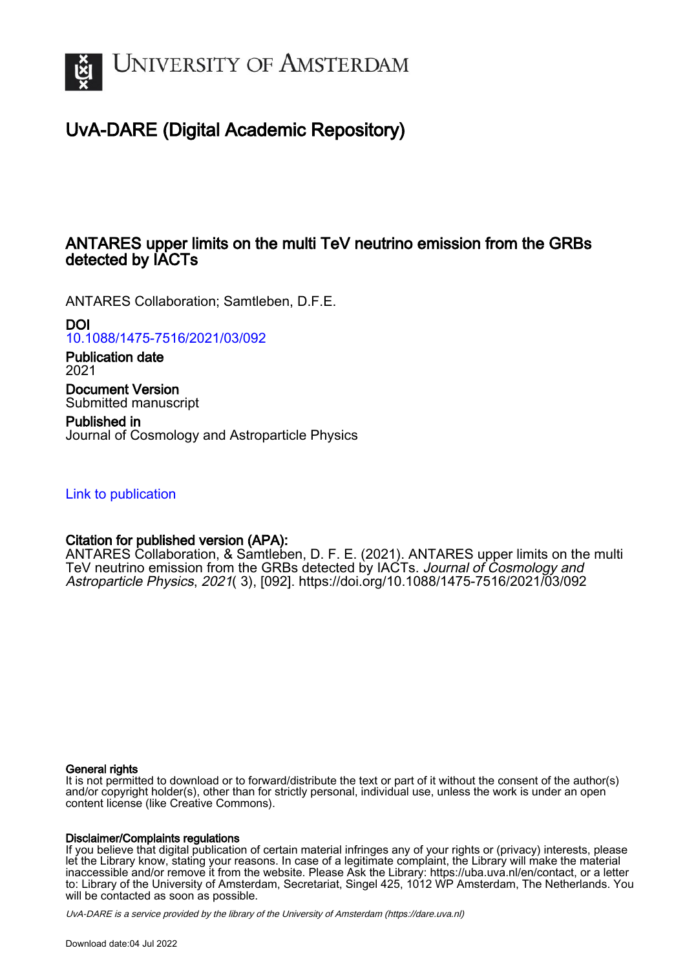

# UvA-DARE (Digital Academic Repository)

## ANTARES upper limits on the multi TeV neutrino emission from the GRBs detected by IACTs

ANTARES Collaboration; Samtleben, D.F.E.

DOI

[10.1088/1475-7516/2021/03/092](https://doi.org/10.1088/1475-7516/2021/03/092)

Publication date 2021

Document Version Submitted manuscript

Published in Journal of Cosmology and Astroparticle Physics

[Link to publication](https://dare.uva.nl/personal/pure/en/publications/antares-upper-limits-on-the-multi-tev-neutrino-emission-from-the-grbs-detected-by-iacts(5a9754cd-746e-4326-972c-d8b81be4da0f).html)

## Citation for published version (APA):

ANTARES Collaboration, & Samtleben, D. F. E. (2021). ANTARES upper limits on the multi TeV neutrino emission from the GRBs detected by IACTs. Journal of Cosmology and Astroparticle Physics, 2021( 3), [092]. <https://doi.org/10.1088/1475-7516/2021/03/092>

#### General rights

It is not permitted to download or to forward/distribute the text or part of it without the consent of the author(s) and/or copyright holder(s), other than for strictly personal, individual use, unless the work is under an open content license (like Creative Commons).

#### Disclaimer/Complaints regulations

If you believe that digital publication of certain material infringes any of your rights or (privacy) interests, please let the Library know, stating your reasons. In case of a legitimate complaint, the Library will make the material inaccessible and/or remove it from the website. Please Ask the Library: https://uba.uva.nl/en/contact, or a letter to: Library of the University of Amsterdam, Secretariat, Singel 425, 1012 WP Amsterdam, The Netherlands. You will be contacted as soon as possible.

UvA-DARE is a service provided by the library of the University of Amsterdam (http*s*://dare.uva.nl)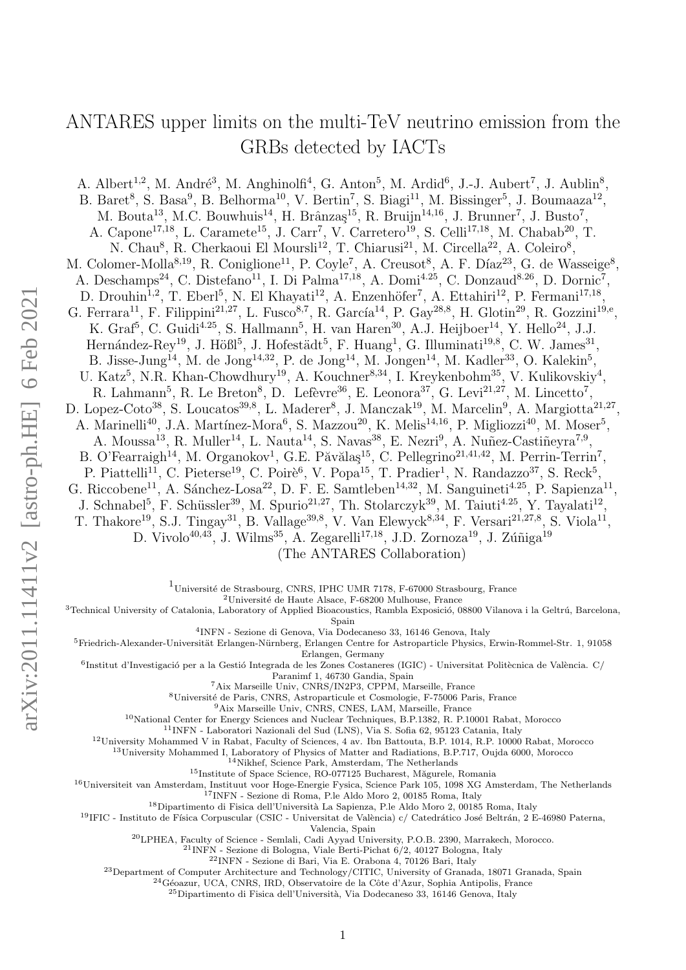# ANTARES upper limits on the multi-TeV neutrino emission from the GRBs detected by IACTs

A. Albert<sup>1,2</sup>, M. André<sup>3</sup>, M. Anghinolfi<sup>4</sup>, G. Anton<sup>5</sup>, M. Ardid<sup>6</sup>, J.-J. Aubert<sup>7</sup>, J. Aublin<sup>8</sup>, B. Baret<sup>8</sup>, S. Basa<sup>9</sup>, B. Belhorma<sup>10</sup>, V. Bertin<sup>7</sup>, S. Biagi<sup>11</sup>, M. Bissinger<sup>5</sup>, J. Boumaaza<sup>12</sup>, M. Bouta<sup>13</sup>, M.C. Bouwhuis<sup>14</sup>, H. Brânzaş<sup>15</sup>, R. Bruijn<sup>14,16</sup>, J. Brunner<sup>7</sup>, J. Busto<sup>7</sup>, A. Capone<sup>17,18</sup>, L. Caramete<sup>15</sup>, J. Carr<sup>7</sup>, V. Carretero<sup>19</sup>, S. Celli<sup>17,18</sup>, M. Chabab<sup>20</sup>, T. N. Chau<sup>8</sup>, R. Cherkaoui El Moursli<sup>12</sup>, T. Chiarusi<sup>21</sup>, M. Circella<sup>22</sup>, A. Coleiro<sup>8</sup>, M. Colomer-Molla<sup>8,19</sup>, R. Coniglione<sup>11</sup>, P. Coyle<sup>7</sup>, A. Creusot<sup>8</sup>, A. F. Díaz<sup>23</sup>, G. de Wasseige<sup>8</sup>, A. Deschamps<sup>24</sup>, C. Distefano<sup>11</sup>, I. Di Palma<sup>17,18</sup>, A. Domi<sup>4.25</sup>, C. Donzaud<sup>8.26</sup>, D. Dornic<sup>7</sup>, D. Drouhin<sup>1,2</sup>, T. Eberl<sup>5</sup>, N. El Khayati<sup>12</sup>, A. Enzenhöfer<sup>7</sup>, A. Ettahiri<sup>12</sup>, P. Fermani<sup>17,18</sup>, G. Ferrara<sup>11</sup>, F. Filippini<sup>21,27</sup>, L. Fusco<sup>8,7</sup>, R. García<sup>14</sup>, P. Gay<sup>28,8</sup>, H. Glotin<sup>29</sup>, R. Gozzini<sup>19,e</sup>, K. Graf<sup>5</sup>, C. Guidi<sup>4.25</sup>, S. Hallmann<sup>5</sup>, H. van Haren<sup>30</sup>, A.J. Heijboer<sup>14</sup>, Y. Hello<sup>24</sup>, J.J. Hernández-Rey<sup>19</sup>, J. Hößl<sup>5</sup>, J. Hofestädt<sup>5</sup>, F. Huang<sup>1</sup>, G. Illuminati<sup>19,8</sup>, C. W. James<sup>31</sup>, B. Jisse-Jung<sup>14</sup>, M. de Jong<sup>14,32</sup>, P. de Jong<sup>14</sup>, M. Jongen<sup>14</sup>, M. Kadler<sup>33</sup>, O. Kalekin<sup>5</sup>, U. Katz<sup>5</sup>, N.R. Khan-Chowdhury<sup>19</sup>, A. Kouchner<sup>8,34</sup>, I. Kreykenbohm<sup>35</sup>, V. Kulikovskiy<sup>4</sup>, R. Lahmann<sup>5</sup>, R. Le Breton<sup>8</sup>, D. Lefèvre<sup>36</sup>, E. Leonora<sup>37</sup>, G. Levi<sup>21,27</sup>, M. Lincetto<sup>7</sup>, D. Lopez-Coto<sup>38</sup>, S. Loucatos<sup>39,8</sup>, L. Maderer<sup>8</sup>, J. Manczak<sup>19</sup>, M. Marcelin<sup>9</sup>, A. Margiotta<sup>21,27</sup>, A. Marinelli<sup>40</sup>, J.A. Martínez-Mora<sup>6</sup>, S. Mazzou<sup>20</sup>, K. Melis<sup>14,16</sup>, P. Migliozzi<sup>40</sup>, M. Moser<sup>5</sup>, A. Moussa<sup>13</sup>, R. Muller<sup>14</sup>, L. Nauta<sup>14</sup>, S. Navas<sup>38</sup>, E. Nezri<sup>9</sup>, A. Nuñez-Castiñeyra<sup>7,9</sup>, B. O'Fearraigh<sup>14</sup>, M. Organokov<sup>1</sup>, G.E. Păvălaş<sup>15</sup>, C. Pellegrino<sup>21,41,42</sup>, M. Perrin-Terrin<sup>7</sup>, P. Piattelli<sup>11</sup>, C. Pieterse<sup>19</sup>, C. Poirè<sup>6</sup>, V. Popa<sup>15</sup>, T. Pradier<sup>1</sup>, N. Randazzo<sup>37</sup>, S. Reck<sup>5</sup>, G. Riccobene<sup>11</sup>, A. Sánchez-Losa<sup>22</sup>, D. F. E. Samtleben<sup>14,32</sup>, M. Sanguineti<sup>4.25</sup>, P. Sapienza<sup>11</sup>, J. Schnabel<sup>5</sup>, F. Schüssler<sup>39</sup>, M. Spurio<sup>21,27</sup>, Th. Stolarczyk<sup>39</sup>, M. Taiuti<sup>4.25</sup>, Y. Tayalati<sup>12</sup>, T. Thakore<sup>19</sup>, S.J. Tingay<sup>31</sup>, B. Vallage<sup>39,8</sup>, V. Van Elewyck<sup>8,34</sup>, F. Versari<sup>21,27,8</sup>, S. Viola<sup>11</sup>, D. Vivolo<sup>40,43</sup>, J. Wilms<sup>35</sup>, A. Zegarelli<sup>17,18</sup>, J.D. Zornoza<sup>19</sup>, J. Zúñiga<sup>19</sup> (The ANTARES Collaboration)

 $1$ Université de Strasbourg, CNRS, IPHC UMR 7178, F-67000 Strasbourg, France

 $2$ Université de Haute Alsace, F-68200 Mulhouse, France

<sup>3</sup>Technical University of Catalonia, Laboratory of Applied Bioacoustics, Rambla Exposició, 08800 Vilanova i la Geltrú, Barcelona,

Spain

4 INFN - Sezione di Genova, Via Dodecaneso 33, 16146 Genova, Italy

<sup>5</sup>Friedrich-Alexander-Universität Erlangen-Nürnberg, Erlangen Centre for Astroparticle Physics, Erwin-Rommel-Str. 1, 91058 Erlangen, Germany

6 Institut d'Investigació per a la Gestió Integrada de les Zones Costaneres (IGIC) - Universitat Politècnica de València. C/

Paranimf 1, 46730 Gandia, Spain

<sup>7</sup>Aix Marseille Univ, CNRS/IN2P3, CPPM, Marseille, France

<sup>8</sup>Université de Paris, CNRS, Astroparticule et Cosmologie, F-75006 Paris, France

<sup>9</sup>Aix Marseille Univ, CNRS, CNES, LAM, Marseille, France

<sup>10</sup>National Center for Energy Sciences and Nuclear Techniques, B.P.1382, R. P.10001 Rabat, Morocco

<sup>11</sup>INFN - Laboratori Nazionali del Sud (LNS), Via S. Sofia 62, 95123 Catania, Italy

<sup>12</sup>University Mohammed V in Rabat, Faculty of Sciences, 4 av. Ibn Battouta, B.P. 1014, R.P. 10000 Rabat, Morocco

<sup>13</sup>University Mohammed I, Laboratory of Physics of Matter and Radiations, B.P.717, Oujda 6000, Morocco <sup>14</sup>Nikhef, Science Park, Amsterdam, The Netherlands

<sup>15</sup>Institute of Space Science, RO-077125 Bucharest, Măgurele, Romania

<sup>16</sup>Universiteit van Amsterdam, Instituut voor Hoge-Energie Fysica, Science Park 105, 1098 XG Amsterdam, The Netherlands <sup>17</sup>INFN - Sezione di Roma, P.le Aldo Moro 2, 00185 Roma, Italy

 $^{18}$ Dipartimento di Fisica dell'Università La Sapienza, P.le Aldo Moro 2, 00185 Roma, Italy

<sup>19</sup>IFIC - Instituto de Física Corpuscular (CSIC - Universitat de València) c/ Catedrático José Beltrán, 2 E-46980 Paterna, Valencia, Spain

<sup>20</sup>LPHEA, Faculty of Science - Semlali, Cadi Ayyad University, P.O.B. 2390, Marrakech, Morocco.

<sup>21</sup>INFN - Sezione di Bologna, Viale Berti-Pichat 6/2, 40127 Bologna, Italy

 $^{22}\rm{INFN}$  - Sezione di Bari, Via E. Orabona 4, 70126 Bari, Italy

<sup>23</sup>Department of Computer Architecture and Technology/CITIC, University of Granada, 18071 Granada, Spain

<sup>24</sup>Géoazur, UCA, CNRS, IRD, Observatoire de la Côte d'Azur, Sophia Antipolis, France

 $^{25}$ Dipartimento di Fisica dell'Università, Via Dodecaneso 33, 16146 Genova, Italy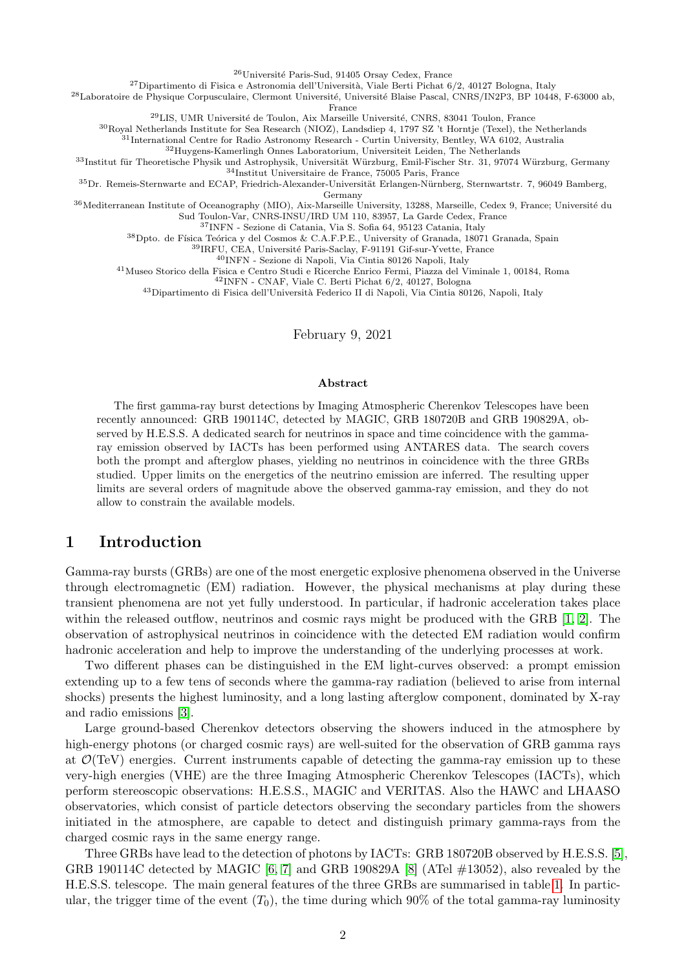<sup>26</sup>Université Paris-Sud, 91405 Orsay Cedex, France

 $^{27}$ Dipartimento di Fisica e Astronomia dell'Università, Viale Berti Pichat 6/2, 40127 Bologna, Italy

<sup>28</sup>Laboratoire de Physique Corpusculaire, Clermont Université, Université Blaise Pascal, CNRS/IN2P3, BP 10448, F-63000 ab, France

<sup>29</sup>LIS, UMR Université de Toulon, Aix Marseille Université, CNRS, 83041 Toulon, France

<sup>30</sup>Royal Netherlands Institute for Sea Research (NIOZ), Landsdiep 4, 1797 SZ 't Horntje (Texel), the Netherlands

<sup>31</sup>International Centre for Radio Astronomy Research - Curtin University, Bentley, WA 6102, Australia

<sup>32</sup>Huygens-Kamerlingh Onnes Laboratorium, Universiteit Leiden, The Netherlands

33Institut für Theoretische Physik und Astrophysik, Universität Würzburg, Emil-Fischer Str. 31, 97074 Würzburg, Germany <sup>34</sup>Institut Universitaire de France, 75005 Paris, France

<sup>35</sup>Dr. Remeis-Sternwarte and ECAP, Friedrich-Alexander-Universität Erlangen-Nürnberg, Sternwartstr. 7, 96049 Bamberg,

Germany

36 Mediterranean Institute of Oceanography (MIO), Aix-Marseille University, 13288, Marseille, Cedex 9, France; Université du Sud Toulon-Var, CNRS-INSU/IRD UM 110, 83957, La Garde Cedex, France

<sup>37</sup>INFN - Sezione di Catania, Via S. Sofia 64, 95123 Catania, Italy

 $^{38}\rm{Dpto.}$ de Física Teórica y del Cosmos & C.A.F.P.E., University of Granada, 18071 Granada, Spain

<sup>39</sup>IRFU, CEA, Université Paris-Saclay, F-91191 Gif-sur-Yvette, France

<sup>40</sup>INFN - Sezione di Napoli, Via Cintia 80126 Napoli, Italy

<sup>41</sup>Museo Storico della Fisica e Centro Studi e Ricerche Enrico Fermi, Piazza del Viminale 1, 00184, Roma

<sup>42</sup>INFN - CNAF, Viale C. Berti Pichat 6/2, 40127, Bologna

<sup>43</sup>Dipartimento di Fisica dell'Università Federico II di Napoli, Via Cintia 80126, Napoli, Italy

February 9, 2021

#### Abstract

The first gamma-ray burst detections by Imaging Atmospheric Cherenkov Telescopes have been recently announced: GRB 190114C, detected by MAGIC, GRB 180720B and GRB 190829A, observed by H.E.S.S. A dedicated search for neutrinos in space and time coincidence with the gammaray emission observed by IACTs has been performed using ANTARES data. The search covers both the prompt and afterglow phases, yielding no neutrinos in coincidence with the three GRBs studied. Upper limits on the energetics of the neutrino emission are inferred. The resulting upper limits are several orders of magnitude above the observed gamma-ray emission, and they do not allow to constrain the available models.

## 1 Introduction

Gamma-ray bursts (GRBs) are one of the most energetic explosive phenomena observed in the Universe through electromagnetic (EM) radiation. However, the physical mechanisms at play during these transient phenomena are not yet fully understood. In particular, if hadronic acceleration takes place within the released outflow, neutrinos and cosmic rays might be produced with the GRB [\[1,](#page-11-0) [2\]](#page-11-1). The observation of astrophysical neutrinos in coincidence with the detected EM radiation would confirm hadronic acceleration and help to improve the understanding of the underlying processes at work.

Two different phases can be distinguished in the EM light-curves observed: a prompt emission extending up to a few tens of seconds where the gamma-ray radiation (believed to arise from internal shocks) presents the highest luminosity, and a long lasting afterglow component, dominated by X-ray and radio emissions [\[3\]](#page-11-2).

Large ground-based Cherenkov detectors observing the showers induced in the atmosphere by high-energy photons (or charged cosmic rays) are well-suited for the observation of GRB gamma rays at  $\mathcal{O}(\text{TeV})$  energies. Current instruments capable of detecting the gamma-ray emission up to these very-high energies (VHE) are the three Imaging Atmospheric Cherenkov Telescopes (IACTs), which perform stereoscopic observations: H.E.S.S., MAGIC and VERITAS. Also the HAWC and LHAASO observatories, which consist of particle detectors observing the secondary particles from the showers initiated in the atmosphere, are capable to detect and distinguish primary gamma-rays from the charged cosmic rays in the same energy range.

Three GRBs have lead to the detection of photons by IACTs: GRB 180720B observed by H.E.S.S. [\[5\]](#page-11-3), GRB 190114C detected by MAGIC [\[6,](#page-11-4) [7\]](#page-11-5) and GRB 190829A [\[8\]](#page-11-6) (ATel #13052), also revealed by the H.E.S.S. telescope. The main general features of the three GRBs are summarised in table [1.](#page-3-0) In particular, the trigger time of the event  $(T_0)$ , the time during which 90% of the total gamma-ray luminosity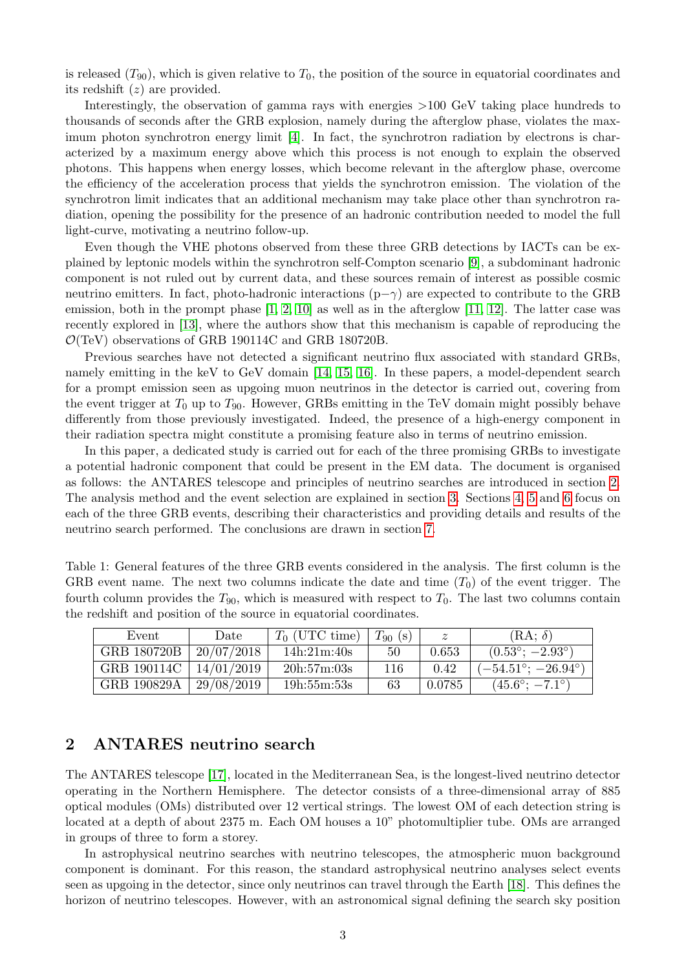is released  $(T_{90})$ , which is given relative to  $T_0$ , the position of the source in equatorial coordinates and its redshift (z) are provided.

Interestingly, the observation of gamma rays with energies >100 GeV taking place hundreds to thousands of seconds after the GRB explosion, namely during the afterglow phase, violates the maximum photon synchrotron energy limit [\[4\]](#page-11-7). In fact, the synchrotron radiation by electrons is characterized by a maximum energy above which this process is not enough to explain the observed photons. This happens when energy losses, which become relevant in the afterglow phase, overcome the efficiency of the acceleration process that yields the synchrotron emission. The violation of the synchrotron limit indicates that an additional mechanism may take place other than synchrotron radiation, opening the possibility for the presence of an hadronic contribution needed to model the full light-curve, motivating a neutrino follow-up.

Even though the VHE photons observed from these three GRB detections by IACTs can be explained by leptonic models within the synchrotron self-Compton scenario [\[9\]](#page-11-8), a subdominant hadronic component is not ruled out by current data, and these sources remain of interest as possible cosmic neutrino emitters. In fact, photo-hadronic interactions  $(p-\gamma)$  are expected to contribute to the GRB emission, both in the prompt phase  $[1, 2, 10]$  $[1, 2, 10]$  $[1, 2, 10]$  as well as in the afterglow  $[11, 12]$  $[11, 12]$ . The latter case was recently explored in [\[13\]](#page-11-12), where the authors show that this mechanism is capable of reproducing the  $\mathcal{O}(\text{TeV})$  observations of GRB 190114C and GRB 180720B.

Previous searches have not detected a significant neutrino flux associated with standard GRBs, namely emitting in the keV to GeV domain [\[14,](#page-11-13) [15,](#page-11-14) [16\]](#page-11-15). In these papers, a model-dependent search for a prompt emission seen as upgoing muon neutrinos in the detector is carried out, covering from the event trigger at  $T_0$  up to  $T_{90}$ . However, GRBs emitting in the TeV domain might possibly behave differently from those previously investigated. Indeed, the presence of a high-energy component in their radiation spectra might constitute a promising feature also in terms of neutrino emission.

In this paper, a dedicated study is carried out for each of the three promising GRBs to investigate a potential hadronic component that could be present in the EM data. The document is organised as follows: the ANTARES telescope and principles of neutrino searches are introduced in section [2.](#page-3-1) The analysis method and the event selection are explained in section [3.](#page-4-0) Sections [4,](#page-5-0) [5](#page-6-0) and [6](#page-8-0) focus on each of the three GRB events, describing their characteristics and providing details and results of the neutrino search performed. The conclusions are drawn in section [7.](#page-9-0)

<span id="page-3-0"></span>

| Table 1: General features of the three GRB events considered in the analysis. The first column is the        |
|--------------------------------------------------------------------------------------------------------------|
| GRB event name. The next two columns indicate the date and time $(T_0)$ of the event trigger. The            |
| fourth column provides the $T_{90}$ , which is measured with respect to $T_0$ . The last two columns contain |
| the redshift and position of the source in equatorial coordinates.                                           |

| Event       | Date       | $T_0$ (UTC time) | $T_{90}$ (s) |        | $(RA; \delta)$                      |
|-------------|------------|------------------|--------------|--------|-------------------------------------|
| GRB 180720B | 20/07/2018 | 14h:21m:40s      | 50           | 0.653  | $(0.53^{\circ}; -2.93^{\circ})$     |
| GRB 190114C | 14/01/2019 | 20h:57m:03s      | 116          | 0.42   | $(-54.51^{\circ};\,-26.94^{\circ})$ |
| GRB 190829A | 29/08/2019 | 19h:55m:53s      | 63           | 0.0785 | $(45.6^{\circ}; -7.1^{\circ})$      |

## <span id="page-3-1"></span>2 ANTARES neutrino search

The ANTARES telescope [\[17\]](#page-12-0), located in the Mediterranean Sea, is the longest-lived neutrino detector operating in the Northern Hemisphere. The detector consists of a three-dimensional array of 885 optical modules (OMs) distributed over 12 vertical strings. The lowest OM of each detection string is located at a depth of about 2375 m. Each OM houses a 10" photomultiplier tube. OMs are arranged in groups of three to form a storey.

In astrophysical neutrino searches with neutrino telescopes, the atmospheric muon background component is dominant. For this reason, the standard astrophysical neutrino analyses select events seen as upgoing in the detector, since only neutrinos can travel through the Earth [\[18\]](#page-12-1). This defines the horizon of neutrino telescopes. However, with an astronomical signal defining the search sky position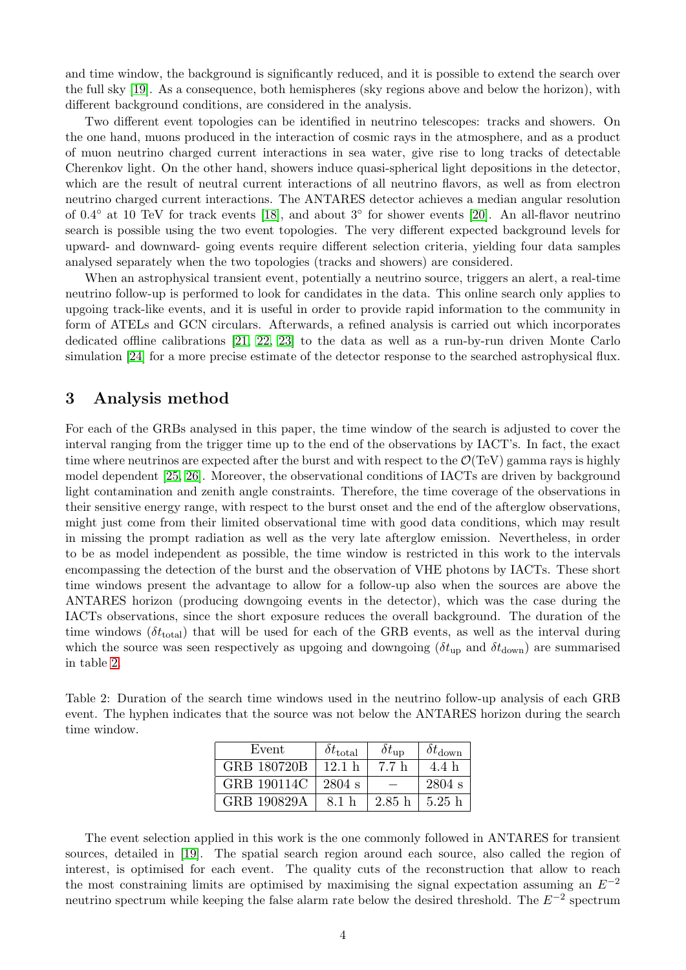and time window, the background is significantly reduced, and it is possible to extend the search over the full sky [\[19\]](#page-12-2). As a consequence, both hemispheres (sky regions above and below the horizon), with different background conditions, are considered in the analysis.

Two different event topologies can be identified in neutrino telescopes: tracks and showers. On the one hand, muons produced in the interaction of cosmic rays in the atmosphere, and as a product of muon neutrino charged current interactions in sea water, give rise to long tracks of detectable Cherenkov light. On the other hand, showers induce quasi-spherical light depositions in the detector, which are the result of neutral current interactions of all neutrino flavors, as well as from electron neutrino charged current interactions. The ANTARES detector achieves a median angular resolution of 0.4◦ at 10 TeV for track events [\[18\]](#page-12-1), and about 3◦ for shower events [\[20\]](#page-12-3). An all-flavor neutrino search is possible using the two event topologies. The very different expected background levels for upward- and downward- going events require different selection criteria, yielding four data samples analysed separately when the two topologies (tracks and showers) are considered.

When an astrophysical transient event, potentially a neutrino source, triggers an alert, a real-time neutrino follow-up is performed to look for candidates in the data. This online search only applies to upgoing track-like events, and it is useful in order to provide rapid information to the community in form of ATELs and GCN circulars. Afterwards, a refined analysis is carried out which incorporates dedicated offline calibrations [\[21,](#page-12-4) [22,](#page-12-5) [23\]](#page-12-6) to the data as well as a run-by-run driven Monte Carlo simulation [\[24\]](#page-12-7) for a more precise estimate of the detector response to the searched astrophysical flux.

## <span id="page-4-0"></span>3 Analysis method

For each of the GRBs analysed in this paper, the time window of the search is adjusted to cover the interval ranging from the trigger time up to the end of the observations by IACT's. In fact, the exact time where neutrinos are expected after the burst and with respect to the  $\mathcal{O}(TeV)$  gamma rays is highly model dependent [\[25,](#page-12-8) [26\]](#page-12-9). Moreover, the observational conditions of IACTs are driven by background light contamination and zenith angle constraints. Therefore, the time coverage of the observations in their sensitive energy range, with respect to the burst onset and the end of the afterglow observations, might just come from their limited observational time with good data conditions, which may result in missing the prompt radiation as well as the very late afterglow emission. Nevertheless, in order to be as model independent as possible, the time window is restricted in this work to the intervals encompassing the detection of the burst and the observation of VHE photons by IACTs. These short time windows present the advantage to allow for a follow-up also when the sources are above the ANTARES horizon (producing downgoing events in the detector), which was the case during the IACTs observations, since the short exposure reduces the overall background. The duration of the time windows  $(\delta t_{\text{total}})$  that will be used for each of the GRB events, as well as the interval during which the source was seen respectively as upgoing and downgoing ( $\delta t_{\text{up}}$  and  $\delta t_{\text{down}}$ ) are summarised in table [2.](#page-4-1)

<span id="page-4-1"></span>Table 2: Duration of the search time windows used in the neutrino follow-up analysis of each GRB event. The hyphen indicates that the source was not below the ANTARES horizon during the search time window.

| Event       | $\delta t_{\rm total}$ | $\delta t_{\text{up}}$ | $\delta t_{\rm down}$ |
|-------------|------------------------|------------------------|-----------------------|
| GRB 180720B | 12.1 h                 | 7.7 h                  | 4.4 h                 |
| GRB 190114C | $2804$ s               |                        | 2804 s                |
| GRB 190829A | 8.1 h                  | 2.85h                  | 5.25h                 |

The event selection applied in this work is the one commonly followed in ANTARES for transient sources, detailed in [\[19\]](#page-12-2). The spatial search region around each source, also called the region of interest, is optimised for each event. The quality cuts of the reconstruction that allow to reach the most constraining limits are optimised by maximising the signal expectation assuming an  $E^{-2}$ neutrino spectrum while keeping the false alarm rate below the desired threshold. The  $E^{-2}$  spectrum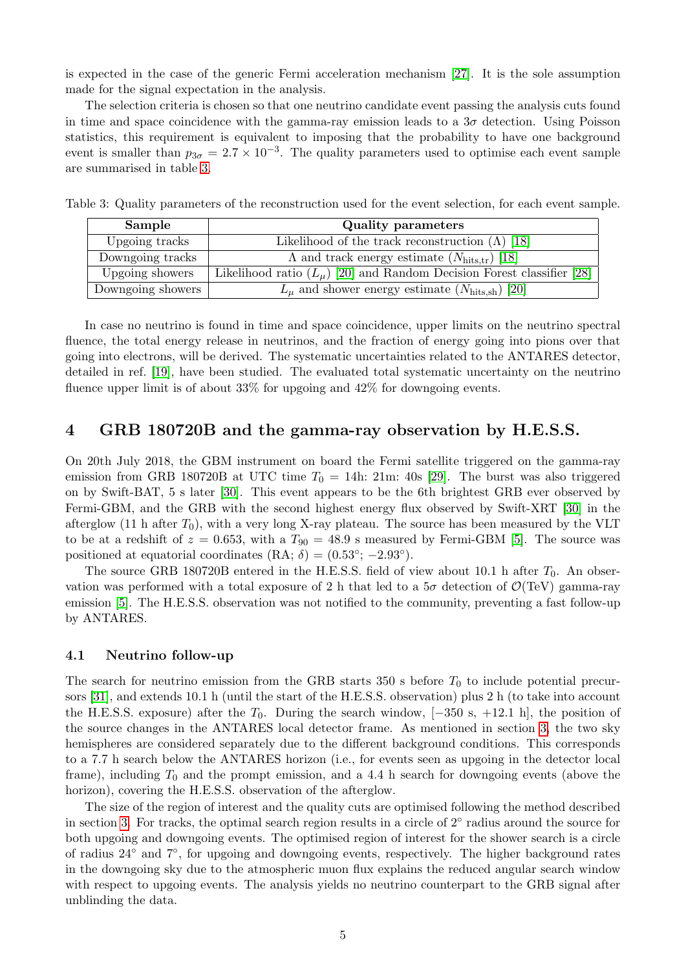is expected in the case of the generic Fermi acceleration mechanism [\[27\]](#page-12-10). It is the sole assumption made for the signal expectation in the analysis.

The selection criteria is chosen so that one neutrino candidate event passing the analysis cuts found in time and space coincidence with the gamma-ray emission leads to a  $3\sigma$  detection. Using Poisson statistics, this requirement is equivalent to imposing that the probability to have one background event is smaller than  $p_{3\sigma} = 2.7 \times 10^{-3}$ . The quality parameters used to optimise each event sample are summarised in table [3.](#page-5-1)

<span id="page-5-1"></span>

| Sample            | <b>Quality parameters</b>                                                |
|-------------------|--------------------------------------------------------------------------|
| Upgoing tracks    | Likelihood of the track reconstruction $(\Lambda)$ [18]                  |
| Downgoing tracks  | $\Lambda$ and track energy estimate $(N_{\text{hits,tr}})$ [18]          |
| Upgoing showers   | Likelihood ratio $(L_u)$ [20] and Random Decision Forest classifier [28] |
| Downgoing showers | $L_{\mu}$ and shower energy estimate $(N_{\text{hits.sh}})$ [20]         |

Table 3: Quality parameters of the reconstruction used for the event selection, for each event sample.

In case no neutrino is found in time and space coincidence, upper limits on the neutrino spectral fluence, the total energy release in neutrinos, and the fraction of energy going into pions over that going into electrons, will be derived. The systematic uncertainties related to the ANTARES detector, detailed in ref. [\[19\]](#page-12-2), have been studied. The evaluated total systematic uncertainty on the neutrino fluence upper limit is of about 33% for upgoing and 42% for downgoing events.

#### <span id="page-5-0"></span>4 GRB 180720B and the gamma-ray observation by H.E.S.S.

On 20th July 2018, the GBM instrument on board the Fermi satellite triggered on the gamma-ray emission from GRB 180720B at UTC time  $T_0 = 14$ h: 21m: 40s [\[29\]](#page-12-12). The burst was also triggered on by Swift-BAT, 5 s later [\[30\]](#page-12-13). This event appears to be the 6th brightest GRB ever observed by Fermi-GBM, and the GRB with the second highest energy flux observed by Swift-XRT [\[30\]](#page-12-13) in the afterglow (11 h after  $T_0$ ), with a very long X-ray plateau. The source has been measured by the VLT to be at a redshift of  $z = 0.653$ , with a  $T_{90} = 48.9$  s measured by Fermi-GBM [\[5\]](#page-11-3). The source was positioned at equatorial coordinates  $(RA; \delta) = (0.53^{\circ}; -2.93^{\circ}).$ 

The source GRB 180720B entered in the H.E.S.S. field of view about 10.1 h after  $T_0$ . An observation was performed with a total exposure of 2 h that led to a  $5\sigma$  detection of  $\mathcal{O}(\text{TeV})$  gamma-ray emission [\[5\]](#page-11-3). The H.E.S.S. observation was not notified to the community, preventing a fast follow-up by ANTARES.

#### 4.1 Neutrino follow-up

The search for neutrino emission from the GRB starts 350 s before  $T_0$  to include potential precursors [\[31\]](#page-12-14), and extends 10.1 h (until the start of the H.E.S.S. observation) plus 2 h (to take into account the H.E.S.S. exposure) after the  $T_0$ . During the search window, [-350 s, +12.1 h], the position of the source changes in the ANTARES local detector frame. As mentioned in section [3,](#page-4-0) the two sky hemispheres are considered separately due to the different background conditions. This corresponds to a 7.7 h search below the ANTARES horizon (i.e., for events seen as upgoing in the detector local frame), including  $T_0$  and the prompt emission, and a 4.4 h search for downgoing events (above the horizon), covering the H.E.S.S. observation of the afterglow.

The size of the region of interest and the quality cuts are optimised following the method described in section [3.](#page-4-0) For tracks, the optimal search region results in a circle of 2° radius around the source for both upgoing and downgoing events. The optimised region of interest for the shower search is a circle of radius 24◦ and 7◦ , for upgoing and downgoing events, respectively. The higher background rates in the downgoing sky due to the atmospheric muon flux explains the reduced angular search window with respect to upgoing events. The analysis yields no neutrino counterpart to the GRB signal after unblinding the data.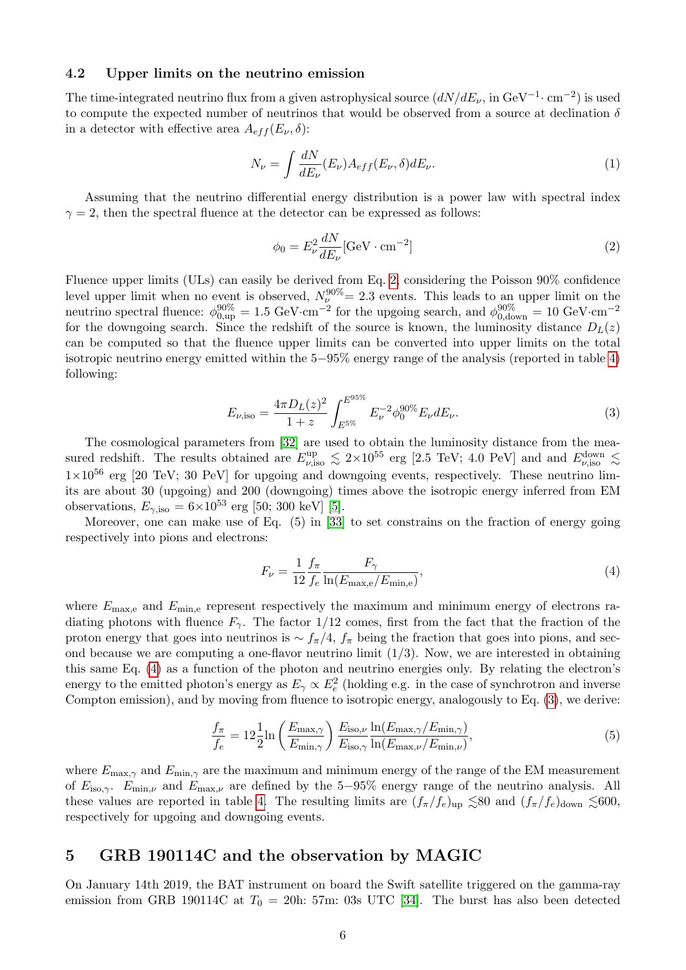#### <span id="page-6-4"></span>4.2 Upper limits on the neutrino emission

The time-integrated neutrino flux from a given astrophysical source  $(dN/dE_{\nu},$  in GeV<sup>-1</sup> $\cdot$  cm<sup>-2</sup>) is used to compute the expected number of neutrinos that would be observed from a source at declination  $\delta$ in a detector with effective area  $A_{eff}(E_{\nu},\delta)$ :

$$
N_{\nu} = \int \frac{dN}{dE_{\nu}} (E_{\nu}) A_{eff} (E_{\nu}, \delta) dE_{\nu}.
$$
\n(1)

Assuming that the neutrino differential energy distribution is a power law with spectral index  $\gamma = 2$ , then the spectral fluence at the detector can be expressed as follows:

<span id="page-6-1"></span>
$$
\phi_0 = E_\nu^2 \frac{dN}{dE_\nu} [\text{GeV} \cdot \text{cm}^{-2}] \tag{2}
$$

Fluence upper limits (ULs) can easily be derived from Eq. [2,](#page-6-1) considering the Poisson 90% confidence level upper limit when no event is observed,  $N_{\nu}^{90\%} = 2.3$  events. This leads to an upper limit on the neutrino spectral fluence:  $\phi_{0,\text{up}}^{90\%} = 1.5 \text{ GeV} \cdot \text{cm}^{-2}$  for the upgoing search, and  $\phi_{0,\text{down}}^{90\%} = 10 \text{ GeV} \cdot \text{cm}^{-2}$ for the downgoing search. Since the redshift of the source is known, the luminosity distance  $D<sub>L</sub>(z)$ can be computed so that the fluence upper limits can be converted into upper limits on the total isotropic neutrino energy emitted within the 5−95% energy range of the analysis (reported in table [4\)](#page-10-0) following:

<span id="page-6-3"></span>
$$
E_{\nu,\text{iso}} = \frac{4\pi D_L(z)^2}{1+z} \int_{E^{5\%}}^{E^{95\%}} E_{\nu}^{-2} \phi_0^{90\%} E_{\nu} dE_{\nu}.
$$
 (3)

The cosmological parameters from [\[32\]](#page-12-15) are used to obtain the luminosity distance from the measured redshift. The results obtained are  $E_{\nu,\mathrm{iso}}^{\text{up}} \leq 2 \times 10^{55}$  erg [2.5 TeV; 4.0 PeV] and and  $E_{\nu,\mathrm{iso}}^{\text{down}} \leq$  $1\times10^{56}$  erg [20 TeV; 30 PeV] for upgoing and downgoing events, respectively. These neutrino limits are about 30 (upgoing) and 200 (downgoing) times above the isotropic energy inferred from EM observations,  $E_{\gamma,iso} = 6 \times 10^{53}$  erg [50; 300 keV] [\[5\]](#page-11-3).

Moreover, one can make use of Eq. (5) in [\[33\]](#page-12-16) to set constrains on the fraction of energy going respectively into pions and electrons:

<span id="page-6-2"></span>
$$
F_{\nu} = \frac{1}{12} \frac{f_{\pi}}{f_e} \frac{F_{\gamma}}{\ln(E_{\text{max},e}/E_{\text{min},e})},\tag{4}
$$

where  $E_{\text{max,e}}$  and  $E_{\text{min,e}}$  represent respectively the maximum and minimum energy of electrons radiating photons with fluence  $F_{\gamma}$ . The factor 1/12 comes, first from the fact that the fraction of the proton energy that goes into neutrinos is  $\sim f_{\pi}/4$ ,  $f_{\pi}$  being the fraction that goes into pions, and second because we are computing a one-flavor neutrino limit  $(1/3)$ . Now, we are interested in obtaining this same Eq. [\(4\)](#page-6-2) as a function of the photon and neutrino energies only. By relating the electron's energy to the emitted photon's energy as  $E_\gamma \propto E_e^2$  (holding e.g. in the case of synchrotron and inverse Compton emission), and by moving from fluence to isotropic energy, analogously to Eq. [\(3\)](#page-6-3), we derive:

<span id="page-6-5"></span>
$$
\frac{f_{\pi}}{f_e} = 12 \frac{1}{2} \ln \left( \frac{E_{\text{max},\gamma}}{E_{\text{min},\gamma}} \right) \frac{E_{\text{iso},\nu}}{E_{\text{iso},\gamma}} \frac{\ln(E_{\text{max},\gamma}/E_{\text{min},\gamma})}{\ln(E_{\text{max},\nu}/E_{\text{min},\nu})},\tag{5}
$$

where  $E_{\text{max},\gamma}$  and  $E_{\text{min},\gamma}$  are the maximum and minimum energy of the range of the EM measurement of  $E_{\text{iso},\gamma}$ .  $E_{\text{min},\nu}$  and  $E_{\text{max},\nu}$  are defined by the 5–95% energy range of the neutrino analysis. All these values are reported in table [4.](#page-10-0) The resulting limits are  $(f_{\pi}/f_e)_{\text{up}} \lesssim 80$  and  $(f_{\pi}/f_e)_{\text{down}} \lesssim 600$ , respectively for upgoing and downgoing events.

## <span id="page-6-0"></span>5 GRB 190114C and the observation by MAGIC

On January 14th 2019, the BAT instrument on board the Swift satellite triggered on the gamma-ray emission from GRB 190114C at  $T_0 = 20h$ : 57m: 03s UTC [\[34\]](#page-12-17). The burst has also been detected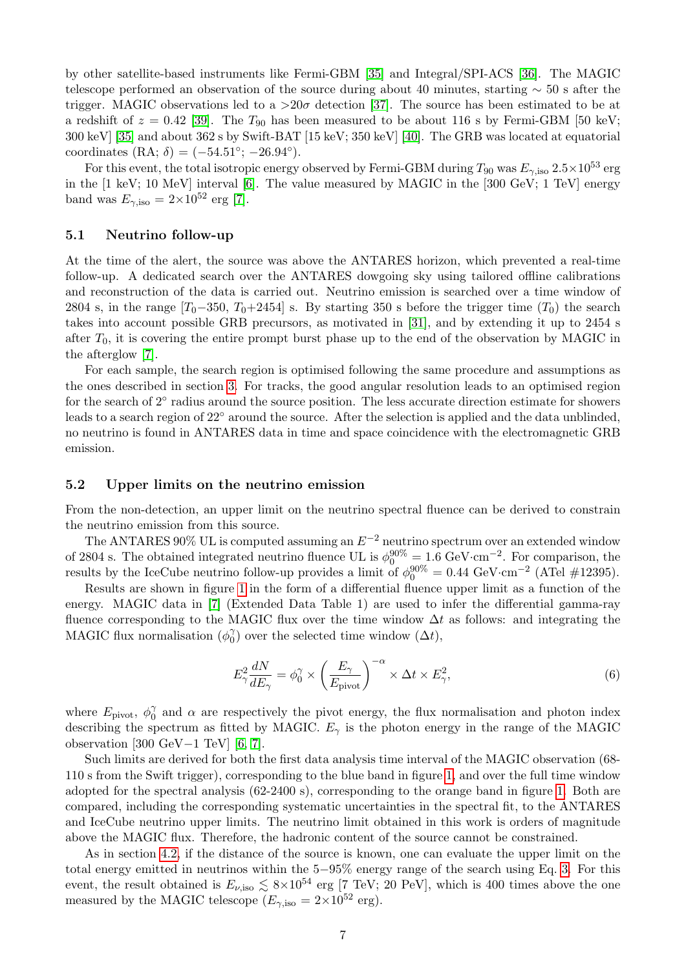by other satellite-based instruments like Fermi-GBM [\[35\]](#page-12-18) and Integral/SPI-ACS [\[36\]](#page-12-19). The MAGIC telescope performed an observation of the source during about 40 minutes, starting ∼ 50 s after the trigger. MAGIC observations led to a  $>20\sigma$  detection [\[37\]](#page-12-20). The source has been estimated to be at a redshift of  $z = 0.42$  [\[39\]](#page-12-21). The  $T_{90}$  has been measured to be about 116 s by Fermi-GBM [50 keV; 300 keV] [\[35\]](#page-12-18) and about 362 s by Swift-BAT [15 keV; 350 keV] [\[40\]](#page-12-22). The GRB was located at equatorial coordinates  $(RA; \delta) = (-54.51^{\circ}; -26.94^{\circ}).$ 

For this event, the total isotropic energy observed by Fermi-GBM during  $T_{90}$  was  $E_{\gamma,\text{iso}}$  2.5×10<sup>53</sup> erg in the  $[1 \text{ keV}; 10 \text{ MeV}]$  interval  $[6]$ . The value measured by MAGIC in the  $[300 \text{ GeV}; 1 \text{ TeV}]$  energy band was  $E_{\gamma,iso} = 2 \times 10^{52}$  erg [\[7\]](#page-11-5).

#### 5.1 Neutrino follow-up

At the time of the alert, the source was above the ANTARES horizon, which prevented a real-time follow-up. A dedicated search over the ANTARES dowgoing sky using tailored offline calibrations and reconstruction of the data is carried out. Neutrino emission is searched over a time window of 2804 s, in the range  $[T_0-350, T_0+2454]$  s. By starting 350 s before the trigger time  $(T_0)$  the search takes into account possible GRB precursors, as motivated in [\[31\]](#page-12-14), and by extending it up to 2454 s after  $T_0$ , it is covering the entire prompt burst phase up to the end of the observation by MAGIC in the afterglow [\[7\]](#page-11-5).

For each sample, the search region is optimised following the same procedure and assumptions as the ones described in section [3.](#page-4-0) For tracks, the good angular resolution leads to an optimised region for the search of 2° radius around the source position. The less accurate direction estimate for showers leads to a search region of 22◦ around the source. After the selection is applied and the data unblinded, no neutrino is found in ANTARES data in time and space coincidence with the electromagnetic GRB emission.

#### 5.2 Upper limits on the neutrino emission

From the non-detection, an upper limit on the neutrino spectral fluence can be derived to constrain the neutrino emission from this source.

The ANTARES 90% UL is computed assuming an  $E^{-2}$  neutrino spectrum over an extended window of 2804 s. The obtained integrated neutrino fluence UL is  $\phi_0^{90\%} = 1.6 \text{ GeV} \cdot \text{cm}^{-2}$ . For comparison, the results by the IceCube neutrino follow-up provides a limit of  $\phi_0^{90\%} = 0.44 \text{ GeV} \cdot \text{cm}^{-2}$  (ATel #12395).

Results are shown in figure [1](#page-8-1) in the form of a differential fluence upper limit as a function of the energy. MAGIC data in [\[7\]](#page-11-5) (Extended Data Table 1) are used to infer the differential gamma-ray fluence corresponding to the MAGIC flux over the time window  $\Delta t$  as follows: and integrating the MAGIC flux normalisation  $(\phi_0^{\gamma})$  $\binom{\gamma}{0}$  over the selected time window  $(\Delta t)$ ,

$$
E_{\gamma}^{2} \frac{dN}{dE_{\gamma}} = \phi_{0}^{\gamma} \times \left(\frac{E_{\gamma}}{E_{\text{pivot}}}\right)^{-\alpha} \times \Delta t \times E_{\gamma}^{2},\tag{6}
$$

where  $E_{\text{pivot}}$ ,  $\phi_0^{\gamma}$  $\alpha_0^{\gamma}$  and  $\alpha$  are respectively the pivot energy, the flux normalisation and photon index describing the spectrum as fitted by MAGIC.  $E_{\gamma}$  is the photon energy in the range of the MAGIC observation [300 GeV−1 TeV] [\[6,](#page-11-4) [7\]](#page-11-5).

Such limits are derived for both the first data analysis time interval of the MAGIC observation (68- 110 s from the Swift trigger), corresponding to the blue band in figure [1,](#page-8-1) and over the full time window adopted for the spectral analysis (62-2400 s), corresponding to the orange band in figure [1.](#page-8-1) Both are compared, including the corresponding systematic uncertainties in the spectral fit, to the ANTARES and IceCube neutrino upper limits. The neutrino limit obtained in this work is orders of magnitude above the MAGIC flux. Therefore, the hadronic content of the source cannot be constrained.

As in section [4.2,](#page-6-4) if the distance of the source is known, one can evaluate the upper limit on the total energy emitted in neutrinos within the 5−95% energy range of the search using Eq. [3.](#page-6-3) For this event, the result obtained is  $E_{\nu,\text{iso}} \lesssim 8 \times 10^{54}$  erg [7 TeV; 20 PeV], which is 400 times above the one measured by the MAGIC telescope ( $E_{\gamma,\text{iso}} = 2 \times 10^{52} \text{ erg}$ ).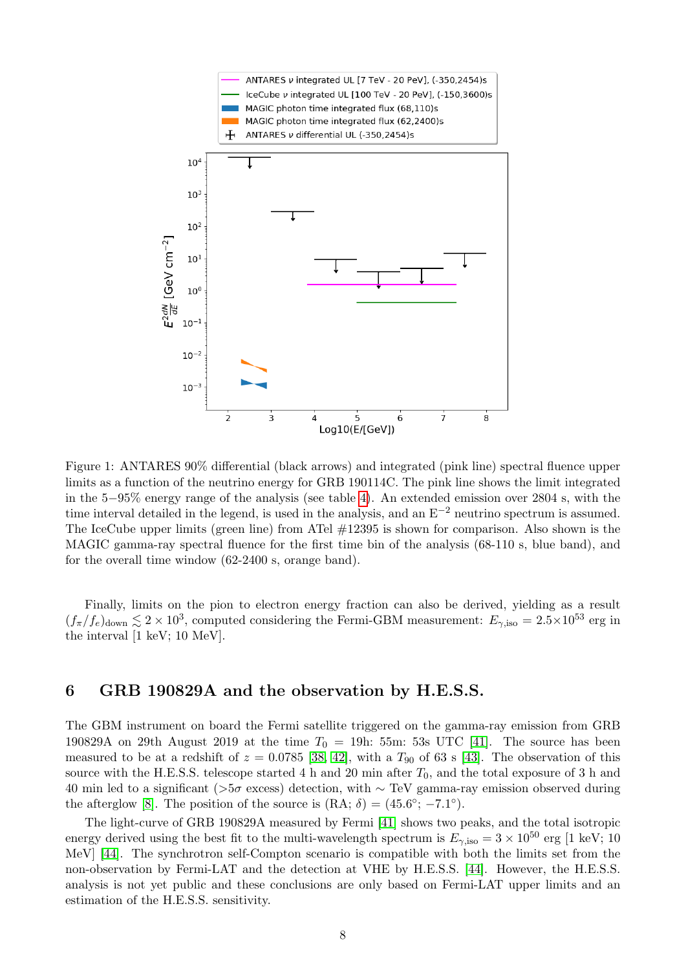

<span id="page-8-1"></span>Figure 1: ANTARES 90% differential (black arrows) and integrated (pink line) spectral fluence upper limits as a function of the neutrino energy for GRB 190114C. The pink line shows the limit integrated in the 5−95% energy range of the analysis (see table [4\)](#page-10-0). An extended emission over 2804 s, with the time interval detailed in the legend, is used in the analysis, and an  $E^{-2}$  neutrino spectrum is assumed. The IceCube upper limits (green line) from ATel #12395 is shown for comparison. Also shown is the MAGIC gamma-ray spectral fluence for the first time bin of the analysis (68-110 s, blue band), and for the overall time window (62-2400 s, orange band).

Finally, limits on the pion to electron energy fraction can also be derived, yielding as a result  $(f_\pi/f_e)_{\text{down}} \lesssim 2 \times 10^3$ , computed considering the Fermi-GBM measurement:  $E_{\gamma,\text{iso}} = 2.5 \times 10^{53}$  erg in the interval [1 keV; 10 MeV].

### <span id="page-8-0"></span>6 GRB 190829A and the observation by H.E.S.S.

The GBM instrument on board the Fermi satellite triggered on the gamma-ray emission from GRB 190829A on 29th August 2019 at the time  $T_0 = 19h$ : 55m: 53s UTC [\[41\]](#page-12-23). The source has been measured to be at a redshift of  $z = 0.0785$  [\[38,](#page-12-24) [42\]](#page-12-25), with a  $T_{90}$  of 63 s [\[43\]](#page-13-0). The observation of this source with the H.E.S.S. telescope started 4 h and 20 min after  $T_0$ , and the total exposure of 3 h and 40 min led to a significant (>5σ excess) detection, with  $\sim$  TeV gamma-ray emission observed during the afterglow [\[8\]](#page-11-6). The position of the source is  $(RA; \delta) = (45.6^{\circ}; -7.1^{\circ}).$ 

The light-curve of GRB 190829A measured by Fermi [\[41\]](#page-12-23) shows two peaks, and the total isotropic energy derived using the best fit to the multi-wavelength spectrum is  $E_{\gamma,iso} = 3 \times 10^{50}$  erg [1 keV; 10 MeV] [\[44\]](#page-13-1). The synchrotron self-Compton scenario is compatible with both the limits set from the non-observation by Fermi-LAT and the detection at VHE by H.E.S.S. [\[44\]](#page-13-1). However, the H.E.S.S. analysis is not yet public and these conclusions are only based on Fermi-LAT upper limits and an estimation of the H.E.S.S. sensitivity.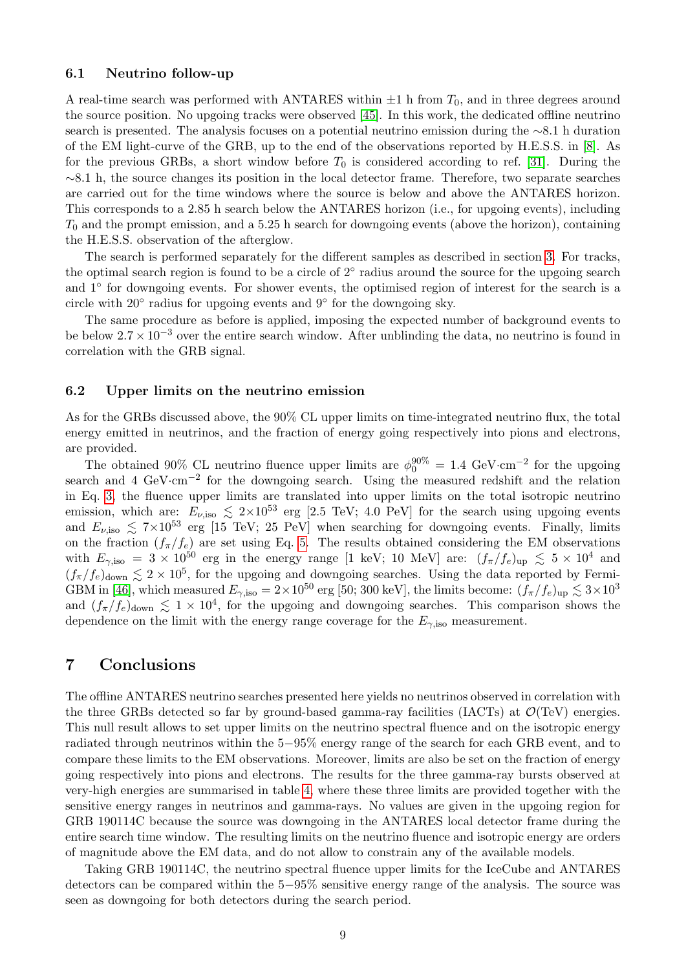#### 6.1 Neutrino follow-up

A real-time search was performed with ANTARES within  $\pm 1$  h from  $T_0$ , and in three degrees around the source position. No upgoing tracks were observed [\[45\]](#page-13-2). In this work, the dedicated offline neutrino search is presented. The analysis focuses on a potential neutrino emission during the ∼8.1 h duration of the EM light-curve of the GRB, up to the end of the observations reported by H.E.S.S. in [\[8\]](#page-11-6). As for the previous GRBs, a short window before  $T_0$  is considered according to ref. [\[31\]](#page-12-14). During the ∼8.1 h, the source changes its position in the local detector frame. Therefore, two separate searches are carried out for the time windows where the source is below and above the ANTARES horizon. This corresponds to a 2.85 h search below the ANTARES horizon (i.e., for upgoing events), including  $T_0$  and the prompt emission, and a 5.25 h search for downgoing events (above the horizon), containing the H.E.S.S. observation of the afterglow.

The search is performed separately for the different samples as described in section [3.](#page-4-0) For tracks, the optimal search region is found to be a circle of  $2<sup>°</sup>$  radius around the source for the upgoing search and 1◦ for downgoing events. For shower events, the optimised region of interest for the search is a circle with  $20°$  radius for upgoing events and  $9°$  for the downgoing sky.

The same procedure as before is applied, imposing the expected number of background events to be below  $2.7 \times 10^{-3}$  over the entire search window. After unblinding the data, no neutrino is found in correlation with the GRB signal.

#### 6.2 Upper limits on the neutrino emission

As for the GRBs discussed above, the 90% CL upper limits on time-integrated neutrino flux, the total energy emitted in neutrinos, and the fraction of energy going respectively into pions and electrons, are provided.

The obtained 90% CL neutrino fluence upper limits are  $\phi_0^{90\%} = 1.4 \text{ GeV} \cdot \text{cm}^{-2}$  for the upgoing search and 4 GeV·cm<sup>-2</sup> for the downgoing search. Using the measured redshift and the relation in Eq. [3,](#page-6-3) the fluence upper limits are translated into upper limits on the total isotropic neutrino emission, which are:  $E_{\nu,\text{iso}} \lesssim 2 \times 10^{53}$  erg [2.5 TeV; 4.0 PeV] for the search using upgoing events and  $E_{\nu,\text{iso}} \lesssim 7\times10^{53}$  erg [15 TeV; 25 PeV] when searching for downgoing events. Finally, limits on the fraction  $(f_{\pi}/f_e)$  are set using Eq. [5.](#page-6-5) The results obtained considering the EM observations with  $E_{\gamma,\rm iso} = 3 \times 10^{50}$  erg in the energy range [1 keV; 10 MeV] are:  $(f_\pi/f_e)_{\rm up} \lesssim 5 \times 10^4$  and  $(f_\pi/f_e)_{\text{down}} \lesssim 2 \times 10^5$ , for the upgoing and downgoing searches. Using the data reported by Fermi-GBM in [\[46\]](#page-13-3), which measured  $E_{\gamma,\text{iso}} = 2 \times 10^{50}$  erg [50; 300 keV], the limits become:  $(f_{\pi}/f_e)_{\text{up}} \lesssim 3 \times 10^3$ and  $(f_{\pi}/f_e)_{\text{down}} \lesssim 1 \times 10^4$ , for the upgoing and downgoing searches. This comparison shows the dependence on the limit with the energy range coverage for the  $E_{\gamma,\rm iso}$  measurement.

## <span id="page-9-0"></span>7 Conclusions

The offline ANTARES neutrino searches presented here yields no neutrinos observed in correlation with the three GRBs detected so far by ground-based gamma-ray facilities (IACTs) at  $\mathcal{O}(TeV)$  energies. This null result allows to set upper limits on the neutrino spectral fluence and on the isotropic energy radiated through neutrinos within the 5−95% energy range of the search for each GRB event, and to compare these limits to the EM observations. Moreover, limits are also be set on the fraction of energy going respectively into pions and electrons. The results for the three gamma-ray bursts observed at very-high energies are summarised in table [4,](#page-10-0) where these three limits are provided together with the sensitive energy ranges in neutrinos and gamma-rays. No values are given in the upgoing region for GRB 190114C because the source was downgoing in the ANTARES local detector frame during the entire search time window. The resulting limits on the neutrino fluence and isotropic energy are orders of magnitude above the EM data, and do not allow to constrain any of the available models.

Taking GRB 190114C, the neutrino spectral fluence upper limits for the IceCube and ANTARES detectors can be compared within the 5−95% sensitive energy range of the analysis. The source was seen as downgoing for both detectors during the search period.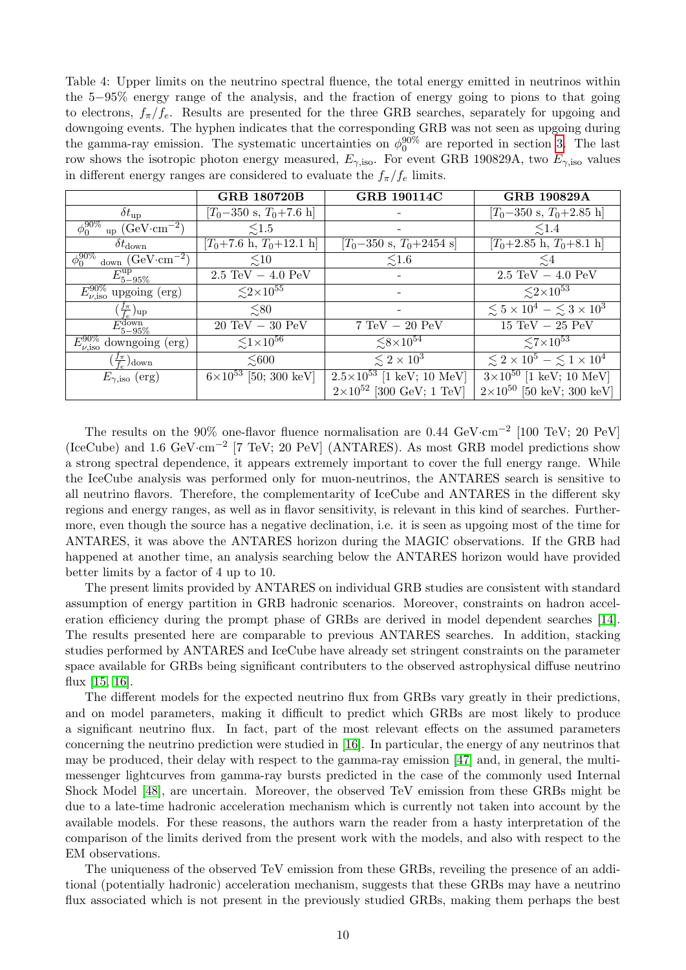<span id="page-10-0"></span>Table 4: Upper limits on the neutrino spectral fluence, the total energy emitted in neutrinos within the 5−95% energy range of the analysis, and the fraction of energy going to pions to that going to electrons,  $f_{\pi}/f_e$ . Results are presented for the three GRB searches, separately for upgoing and downgoing events. The hyphen indicates that the corresponding GRB was not seen as upgoing during the gamma-ray emission. The systematic uncertainties on  $\phi_0^{90\%}$  are reported in section [3.](#page-4-0) The last row shows the isotropic photon energy measured,  $E_{\gamma,\text{iso}}$ . For event GRB 190829A, two  $E_{\gamma,\text{iso}}$  values in different energy ranges are considered to evaluate the  $f_{\pi}/f_e$  limits.

|                                                          | <b>GRB 180720B</b>                        | <b>GRB 190114C</b>                        | <b>GRB 190829A</b>                                |
|----------------------------------------------------------|-------------------------------------------|-------------------------------------------|---------------------------------------------------|
| $\delta t_{\rm up}$                                      | $[T_0-350 \text{ s}, T_0+7.6 \text{ h}]$  |                                           | $[T_0-350 \text{ s}, T_0+2.85 \text{ h}]$         |
| $\phi_0^{90\%}$<br>$_{\rm up}$ (GeV·cm <sup>-2</sup> )   | $\leq 1.5$                                |                                           | $\lesssim$ 1.4                                    |
| $\delta t_\mathrm{down}$                                 | $[T_0+7.6 \text{ h}, T_0+12.1 \text{ h}]$ | $[T_0-350 \text{ s}, T_0+2454 \text{ s}]$ | $[T_0+2.85 \text{ h}, T_0+8.1 \text{ h}]$         |
| $\phi_0^{\overline{90\%}}$<br>down $(GeV \cdot cm^{-2})$ | $\lesssim10$                              | $\lesssim1.6$                             | $\lesssim4$                                       |
| $E_{5-95\%}^{\rm up}$                                    | $2.5 \text{ TeV} - 4.0 \text{ PeV}$       |                                           | $2.5 \text{ TeV} - 4.0 \text{ PeV}$               |
| $E_{\nu,\text{iso}}^{90\%}$ upgoing (erg)                | $\lesssim$ 2×10 <sup>55</sup>             |                                           | $\leq 2 \times 10^{53}$                           |
| $(\frac{f_{\pi}}{f_e})_{\rm up}$                         | $\leq 80$                                 |                                           | $\lesssim 5 \times 10^4 - \lesssim 3 \times 10^3$ |
| $E_{5-95\%}^{down}$                                      | $20 \text{ TeV} - 30 \text{ PeV}$         | $7 \text{ TeV} - 20 \text{ PeV}$          | $15 \text{ TeV} - 25 \text{ PeV}$                 |
| $E_{\nu, \rm iso}^{90\%}$<br>downgoing (erg)             | $\lesssim$ 1×10 <sup>56</sup>             | $\lesssim 8 \times 10^{54}$               | $\leq 7 \times 10^{53}$                           |
| $(\frac{f_{\pi}}{f_{e}})_{\text{down}}$                  | $\leq 600$                                | $\lesssim 2 \times 10^3$                  | $\lesssim 2 \times 10^5 - \lesssim 1 \times 10^4$ |
| $E_{\gamma,\text{iso}}$ (erg)                            | $6\times10^{53}$ [50; 300 keV]            | $2.5 \times 10^{53}$ [1 keV; 10 MeV]      | $3\times10^{50}$ [1 keV; 10 MeV]                  |
|                                                          |                                           | $2\times10^{52}$ [300 GeV; 1 TeV]         | $2\times10^{50}$ [50 keV; 300 keV]                |

The results on the 90% one-flavor fluence normalisation are 0.44 GeV·cm<sup>-2</sup> [100 TeV; 20 PeV] (IceCube) and 1.6 GeV·cm−<sup>2</sup> [7 TeV; 20 PeV] (ANTARES). As most GRB model predictions show a strong spectral dependence, it appears extremely important to cover the full energy range. While the IceCube analysis was performed only for muon-neutrinos, the ANTARES search is sensitive to all neutrino flavors. Therefore, the complementarity of IceCube and ANTARES in the different sky regions and energy ranges, as well as in flavor sensitivity, is relevant in this kind of searches. Furthermore, even though the source has a negative declination, i.e. it is seen as upgoing most of the time for ANTARES, it was above the ANTARES horizon during the MAGIC observations. If the GRB had happened at another time, an analysis searching below the ANTARES horizon would have provided better limits by a factor of 4 up to 10.

The present limits provided by ANTARES on individual GRB studies are consistent with standard assumption of energy partition in GRB hadronic scenarios. Moreover, constraints on hadron acceleration efficiency during the prompt phase of GRBs are derived in model dependent searches [\[14\]](#page-11-13). The results presented here are comparable to previous ANTARES searches. In addition, stacking studies performed by ANTARES and IceCube have already set stringent constraints on the parameter space available for GRBs being significant contributers to the observed astrophysical diffuse neutrino flux [\[15,](#page-11-14) [16\]](#page-11-15).

The different models for the expected neutrino flux from GRBs vary greatly in their predictions, and on model parameters, making it difficult to predict which GRBs are most likely to produce a significant neutrino flux. In fact, part of the most relevant effects on the assumed parameters concerning the neutrino prediction were studied in [\[16\]](#page-11-15). In particular, the energy of any neutrinos that may be produced, their delay with respect to the gamma-ray emission [\[47\]](#page-13-4) and, in general, the multimessenger lightcurves from gamma-ray bursts predicted in the case of the commonly used Internal Shock Model [\[48\]](#page-13-5), are uncertain. Moreover, the observed TeV emission from these GRBs might be due to a late-time hadronic acceleration mechanism which is currently not taken into account by the available models. For these reasons, the authors warn the reader from a hasty interpretation of the comparison of the limits derived from the present work with the models, and also with respect to the EM observations.

The uniqueness of the observed TeV emission from these GRBs, reveiling the presence of an additional (potentially hadronic) acceleration mechanism, suggests that these GRBs may have a neutrino flux associated which is not present in the previously studied GRBs, making them perhaps the best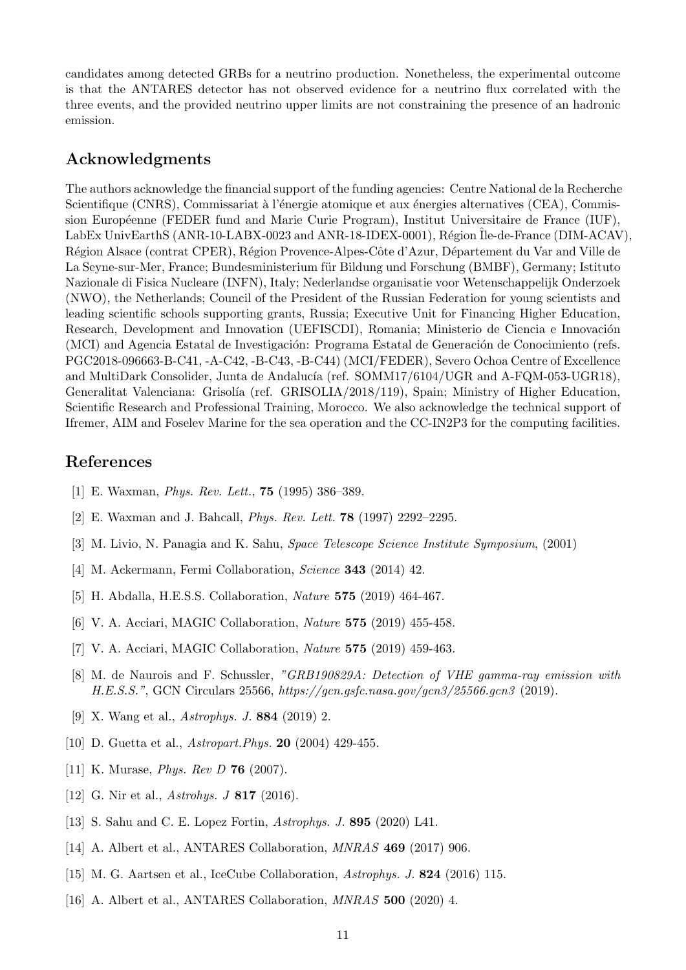candidates among detected GRBs for a neutrino production. Nonetheless, the experimental outcome is that the ANTARES detector has not observed evidence for a neutrino flux correlated with the three events, and the provided neutrino upper limits are not constraining the presence of an hadronic emission.

## Acknowledgments

The authors acknowledge the financial support of the funding agencies: Centre National de la Recherche Scientifique (CNRS), Commissariat à l'énergie atomique et aux énergies alternatives (CEA), Commission Européenne (FEDER fund and Marie Curie Program), Institut Universitaire de France (IUF), LabEx UnivEarthS (ANR-10-LABX-0023 and ANR-18-IDEX-0001), Région Ile-de-France (DIM-ACAV), Région Alsace (contrat CPER), Région Provence-Alpes-Côte d'Azur, Département du Var and Ville de La Seyne-sur-Mer, France; Bundesministerium für Bildung und Forschung (BMBF), Germany; Istituto Nazionale di Fisica Nucleare (INFN), Italy; Nederlandse organisatie voor Wetenschappelijk Onderzoek (NWO), the Netherlands; Council of the President of the Russian Federation for young scientists and leading scientific schools supporting grants, Russia; Executive Unit for Financing Higher Education, Research, Development and Innovation (UEFISCDI), Romania; Ministerio de Ciencia e Innovación (MCI) and Agencia Estatal de Investigación: Programa Estatal de Generación de Conocimiento (refs. PGC2018-096663-B-C41, -A-C42, -B-C43, -B-C44) (MCI/FEDER), Severo Ochoa Centre of Excellence and MultiDark Consolider, Junta de Andalucía (ref. SOMM17/6104/UGR and A-FQM-053-UGR18), Generalitat Valenciana: Grisolía (ref. GRISOLIA/2018/119), Spain; Ministry of Higher Education, Scientific Research and Professional Training, Morocco. We also acknowledge the technical support of Ifremer, AIM and Foselev Marine for the sea operation and the CC-IN2P3 for the computing facilities.

## References

- <span id="page-11-0"></span>[1] E. Waxman, Phys. Rev. Lett., 75 (1995) 386–389.
- <span id="page-11-1"></span>[2] E. Waxman and J. Bahcall, Phys. Rev. Lett. 78 (1997) 2292–2295.
- <span id="page-11-2"></span>[3] M. Livio, N. Panagia and K. Sahu, Space Telescope Science Institute Symposium, (2001)
- <span id="page-11-7"></span>[4] M. Ackermann, Fermi Collaboration, *Science* **343** (2014) 42.
- <span id="page-11-3"></span>[5] H. Abdalla, H.E.S.S. Collaboration, Nature 575 (2019) 464-467.
- <span id="page-11-4"></span>[6] V. A. Acciari, MAGIC Collaboration, Nature 575 (2019) 455-458.
- <span id="page-11-5"></span>[7] V. A. Acciari, MAGIC Collaboration, Nature 575 (2019) 459-463.
- <span id="page-11-6"></span>[8] M. de Naurois and F. Schussler, "GRB190829A: Detection of VHE gamma-ray emission with H.E.S.S.", GCN Circulars 25566, https://gcn.gsfc.nasa.gov/gcn3/25566.gcn3 (2019).
- <span id="page-11-8"></span>[9] X. Wang et al., Astrophys. J. 884 (2019) 2.
- <span id="page-11-9"></span>[10] D. Guetta et al., *Astropart.Phys.* **20** (2004) 429-455.
- <span id="page-11-10"></span>[11] K. Murase, *Phys. Rev D* **76** (2007).
- <span id="page-11-11"></span>[12] G. Nir et al., *Astrohys.* J **817** (2016).
- <span id="page-11-12"></span>[13] S. Sahu and C. E. Lopez Fortin, Astrophys. J. 895 (2020) L41.
- <span id="page-11-13"></span>[14] A. Albert et al., ANTARES Collaboration, MNRAS 469 (2017) 906.
- <span id="page-11-14"></span>[15] M. G. Aartsen et al., IceCube Collaboration, Astrophys. J. 824 (2016) 115.
- <span id="page-11-15"></span>[16] A. Albert et al., ANTARES Collaboration, *MNRAS* 500 (2020) 4.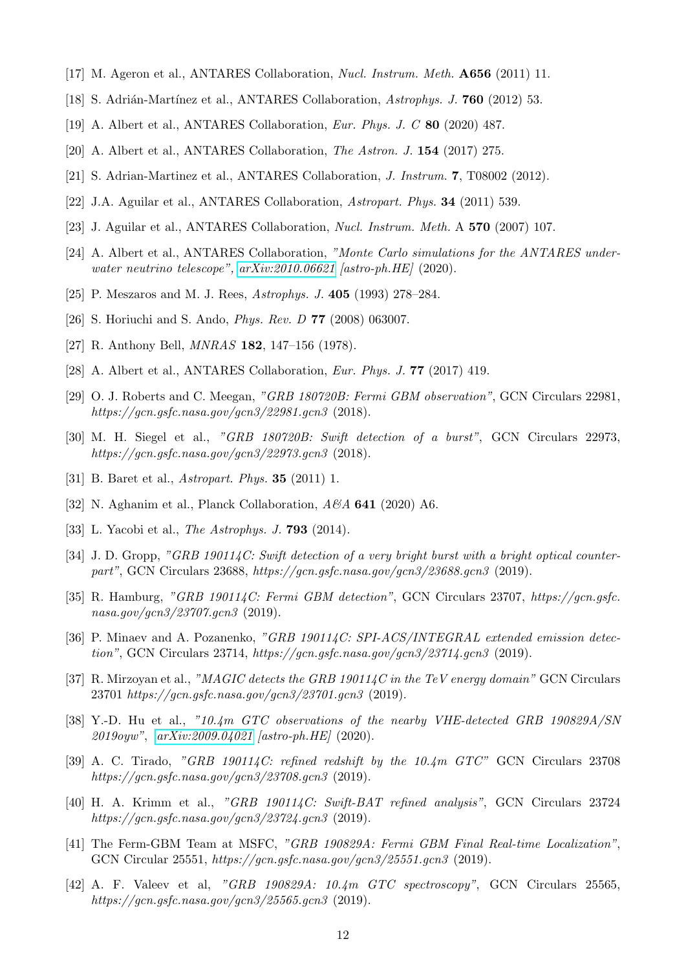- <span id="page-12-0"></span>[17] M. Ageron et al., ANTARES Collaboration, Nucl. Instrum. Meth. A656 (2011) 11.
- <span id="page-12-1"></span>[18] S. Adrián-Martínez et al., ANTARES Collaboration, Astrophys. J. **760** (2012) 53.
- <span id="page-12-2"></span>[19] A. Albert et al., ANTARES Collaboration, Eur. Phys. J. C 80 (2020) 487.
- <span id="page-12-3"></span>[20] A. Albert et al., ANTARES Collaboration, The Astron. J. 154 (2017) 275.
- <span id="page-12-4"></span>[21] S. Adrian-Martinez et al., ANTARES Collaboration, J. Instrum. 7, T08002 (2012).
- <span id="page-12-5"></span>[22] J.A. Aguilar et al., ANTARES Collaboration, Astropart. Phys. 34 (2011) 539.
- <span id="page-12-6"></span>[23] J. Aguilar et al., ANTARES Collaboration, Nucl. Instrum. Meth. A 570 (2007) 107.
- <span id="page-12-7"></span>[24] A. Albert et al., ANTARES Collaboration, "Monte Carlo simulations for the ANTARES underwater neutrino telescope", [arXiv:2010.06621](http://arxiv.org/abs/2010.06621) [astro-ph.HE] (2020).
- <span id="page-12-8"></span>[25] P. Meszaros and M. J. Rees, Astrophys. J. 405 (1993) 278–284.
- <span id="page-12-9"></span>[26] S. Horiuchi and S. Ando, Phys. Rev. D 77 (2008) 063007.
- <span id="page-12-10"></span>[27] R. Anthony Bell, *MNRAS* **182**, 147–156 (1978).
- <span id="page-12-11"></span>[28] A. Albert et al., ANTARES Collaboration, Eur. Phys. J. 77 (2017) 419.
- <span id="page-12-12"></span>[29] O. J. Roberts and C. Meegan, "GRB 180720B: Fermi GBM observation", GCN Circulars 22981, https://gcn.gsfc.nasa.gov/gcn3/22981.gcn3 (2018).
- <span id="page-12-13"></span>[30] M. H. Siegel et al., "GRB 180720B: Swift detection of a burst", GCN Circulars 22973, https://gcn.gsfc.nasa.gov/gcn3/22973.gcn3 (2018).
- <span id="page-12-14"></span>[31] B. Baret et al., *Astropart. Phys.* **35** (2011) 1.
- <span id="page-12-15"></span>[32] N. Aghanim et al., Planck Collaboration,  $A\mathscr{A}A$  641 (2020) A6.
- <span id="page-12-16"></span>[33] L. Yacobi et al., *The Astrophys. J.* **793** (2014).
- <span id="page-12-17"></span>[34] J. D. Gropp, "GRB 190114C: Swift detection of a very bright burst with a bright optical counterpart", GCN Circulars 23688, https://gcn.gsfc.nasa.gov/gcn3/23688.gcn3 (2019).
- <span id="page-12-18"></span>[35] R. Hamburg, "GRB 190114C: Fermi GBM detection", GCN Circulars 23707, https://gcn.gsfc. nasa.gov/gcn3/23707.gcn3 (2019).
- <span id="page-12-19"></span>[36] P. Minaev and A. Pozanenko, "GRB 190114C: SPI-ACS/INTEGRAL extended emission detection", GCN Circulars 23714, https://gcn.gsfc.nasa.gov/gcn3/23714.gcn3 (2019).
- <span id="page-12-20"></span>[37] R. Mirzoyan et al., "MAGIC detects the GRB 190114C in the TeV energy domain" GCN Circulars 23701 https://gcn.gsfc.nasa.gov/gcn3/23701.gcn3 (2019).
- <span id="page-12-24"></span>[38] Y.-D. Hu et al., "10.4m GTC observations of the nearby VHE-detected GRB 190829A/SN 2019oyw", [arXiv:2009.04021](http://arxiv.org/abs/2009.04021) [astro-ph.HE] (2020).
- <span id="page-12-21"></span>[39] A. C. Tirado, "GRB 190114C: refined redshift by the  $10.4m$  GTC" GCN Circulars 23708 https://gcn.gsfc.nasa.gov/gcn3/23708.gcn3 (2019).
- <span id="page-12-22"></span>[40] H. A. Krimm et al., "GRB 190114C: Swift-BAT refined analysis", GCN Circulars  $23724$ https://gcn.gsfc.nasa.gov/gcn3/23724.gcn3 (2019).
- <span id="page-12-23"></span>[41] The Ferm-GBM Team at MSFC, "GRB 190829A: Fermi GBM Final Real-time Localization", GCN Circular 25551, https://gcn.gsfc.nasa.gov/gcn3/25551.gcn3 (2019).
- <span id="page-12-25"></span>[42] A. F. Valeev et al, "GRB 190829A: 10.4m GTC spectroscopy", GCN Circulars 25565. https://gcn.gsfc.nasa.gov/gcn3/25565.gcn3 (2019).